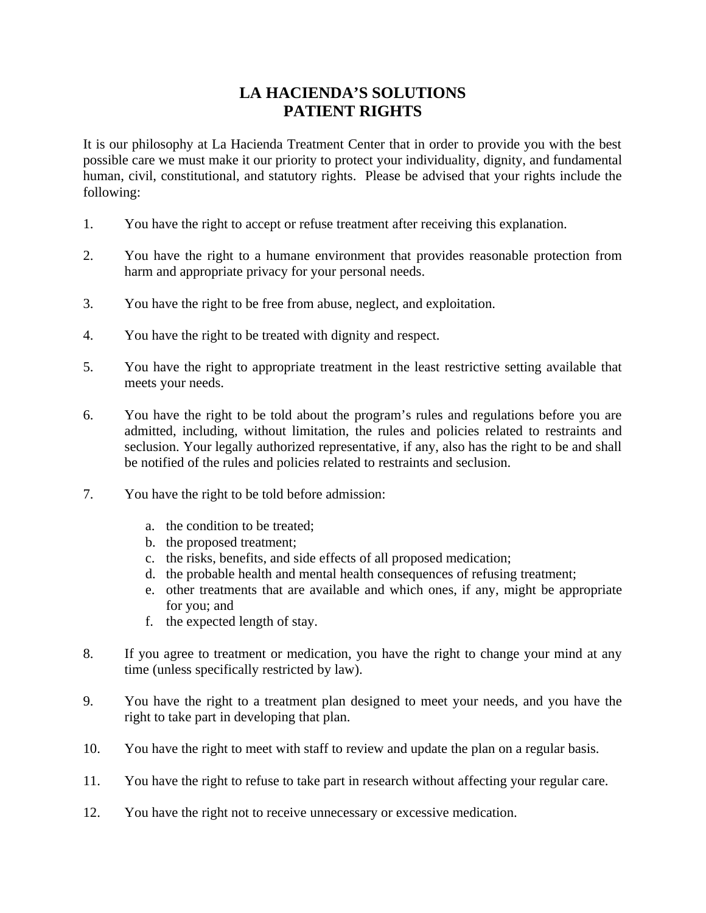## **LA HACIENDA'S SOLUTIONS PATIENT RIGHTS**

It is our philosophy at La Hacienda Treatment Center that in order to provide you with the best possible care we must make it our priority to protect your individuality, dignity, and fundamental human, civil, constitutional, and statutory rights. Please be advised that your rights include the following:

- 1. You have the right to accept or refuse treatment after receiving this explanation.
- 2. You have the right to a humane environment that provides reasonable protection from harm and appropriate privacy for your personal needs.
- 3. You have the right to be free from abuse, neglect, and exploitation.
- 4. You have the right to be treated with dignity and respect.
- 5. You have the right to appropriate treatment in the least restrictive setting available that meets your needs.
- 6. You have the right to be told about the program's rules and regulations before you are admitted, including, without limitation, the rules and policies related to restraints and seclusion. Your legally authorized representative, if any, also has the right to be and shall be notified of the rules and policies related to restraints and seclusion.
- 7. You have the right to be told before admission:
	- a. the condition to be treated;
	- b. the proposed treatment;
	- c. the risks, benefits, and side effects of all proposed medication;
	- d. the probable health and mental health consequences of refusing treatment;
	- e. other treatments that are available and which ones, if any, might be appropriate for you; and
	- f. the expected length of stay.
- 8. If you agree to treatment or medication, you have the right to change your mind at any time (unless specifically restricted by law).
- 9. You have the right to a treatment plan designed to meet your needs, and you have the right to take part in developing that plan.
- 10. You have the right to meet with staff to review and update the plan on a regular basis.
- 11. You have the right to refuse to take part in research without affecting your regular care.
- 12. You have the right not to receive unnecessary or excessive medication.